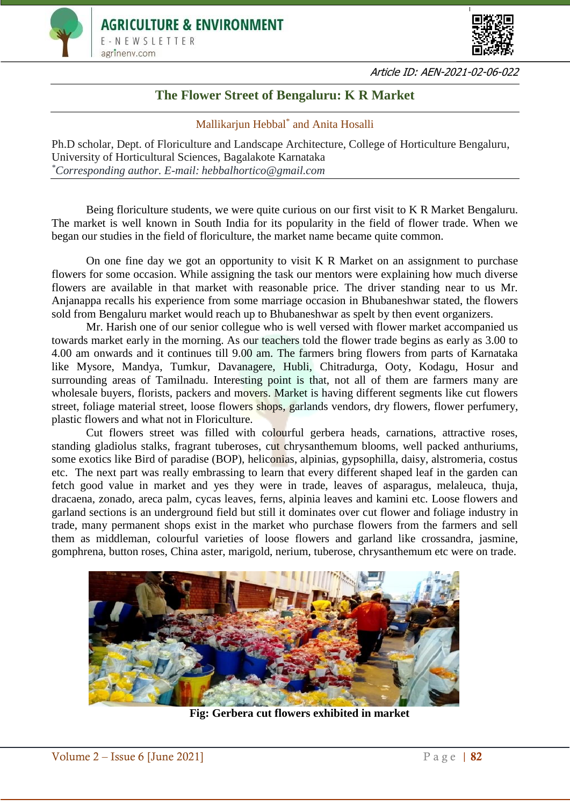



Article ID: AEN-2021-02-06-022

## **The Flower Street of Bengaluru: K R Market**

## Mallikarjun Hebbal\* and Anita Hosalli

Ph.D scholar, Dept. of Floriculture and Landscape Architecture, College of Horticulture Bengaluru, University of Horticultural Sciences, Bagalakote Karnataka *\*Corresponding author. E-mail: hebbalhortico@gmail.com*

Being floriculture students, we were quite curious on our first visit to K R Market Bengaluru. The market is well known in South India for its popularity in the field of flower trade. When we began our studies in the field of floriculture, the market name became quite common.

On one fine day we got an opportunity to visit K R Market on an assignment to purchase flowers for some occasion. While assigning the task our mentors were explaining how much diverse flowers are available in that market with reasonable price. The driver standing near to us Mr. Anjanappa recalls his experience from some marriage occasion in Bhubaneshwar stated, the flowers sold from Bengaluru market would reach up to Bhubaneshwar as spelt by then event organizers.

Mr. Harish one of our senior collegue who is well versed with flower market accompanied us towards market early in the morning. As our teachers told the flower trade begins as early as 3.00 to 4.00 am onwards and it continues till 9.00 am. The farmers bring flowers from parts of Karnataka like Mysore, Mandya, Tumkur, Davanagere, Hubli, Chitradurga, Ooty, Kodagu, Hosur and surrounding areas of Tamilnadu. Interesting point is that, not all of them are farmers many are wholesale buyers, florists, packers and movers. Market is having different segments like cut flowers street, foliage material street, loose flowers shops, garlands vendors, dry flowers, flower perfumery, plastic flowers and what not in Floriculture.

Cut flowers street was filled with colourful gerbera heads, carnations, attractive roses, standing gladiolus stalks, fragrant tuberoses, cut chrysanthemum blooms, well packed anthuriums, some exotics like Bird of paradise (BOP), heliconias, alpinias, gypsophilla, daisy, alstromeria, costus etc. The next part was really embrassing to learn that every different shaped leaf in the garden can fetch good value in market and yes they were in trade, leaves of asparagus, melaleuca, thuja, dracaena, zonado, areca palm, cycas leaves, ferns, alpinia leaves and kamini etc. Loose flowers and garland sections is an underground field but still it dominates over cut flower and foliage industry in trade, many permanent shops exist in the market who purchase flowers from the farmers and sell them as middleman, colourful varieties of loose flowers and garland like crossandra, jasmine, gomphrena, button roses, China aster, marigold, nerium, tuberose, chrysanthemum etc were on trade.



**Fig: Gerbera cut flowers exhibited in market**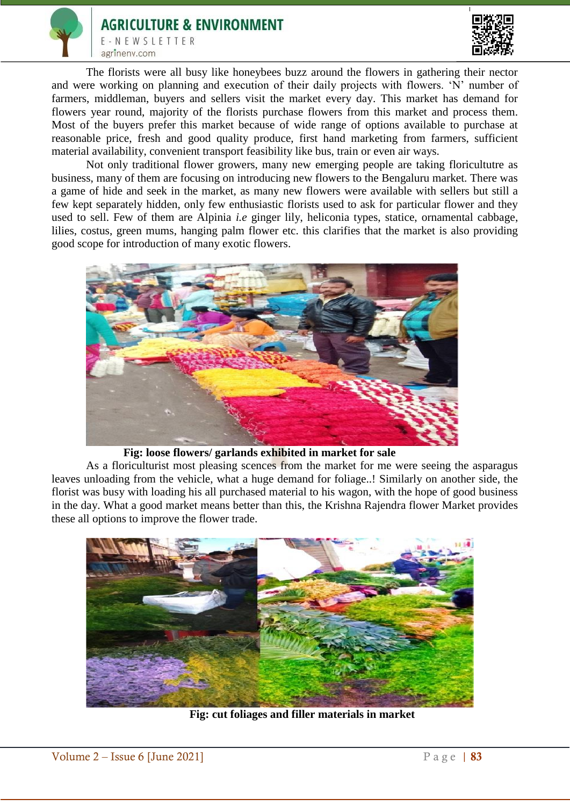



The florists were all busy like honeybees buzz around the flowers in gathering their nector and were working on planning and execution of their daily projects with flowers. 'N' number of farmers, middleman, buyers and sellers visit the market every day. This market has demand for flowers year round, majority of the florists purchase flowers from this market and process them. Most of the buyers prefer this market because of wide range of options available to purchase at reasonable price, fresh and good quality produce, first hand marketing from farmers, sufficient material availability, convenient transport feasibility like bus, train or even air ways.

Not only traditional flower growers, many new emerging people are taking floricultutre as business, many of them are focusing on introducing new flowers to the Bengaluru market. There was a game of hide and seek in the market, as many new flowers were available with sellers but still a few kept separately hidden, only few enthusiastic florists used to ask for particular flower and they used to sell. Few of them are Alpinia *i.e* ginger lily, heliconia types, statice, ornamental cabbage, lilies, costus, green mums, hanging palm flower etc. this clarifies that the market is also providing good scope for introduction of many exotic flowers.



**Fig: loose flowers/ garlands exhibited in market for sale**

As a floriculturist most pleasing scences from the market for me were seeing the asparagus leaves unloading from the vehicle, what a huge demand for foliage..! Similarly on another side, the florist was busy with loading his all purchased material to his wagon, with the hope of good business in the day. What a good market means better than this, the Krishna Rajendra flower Market provides these all options to improve the flower trade.



**Fig: cut foliages and filler materials in market**